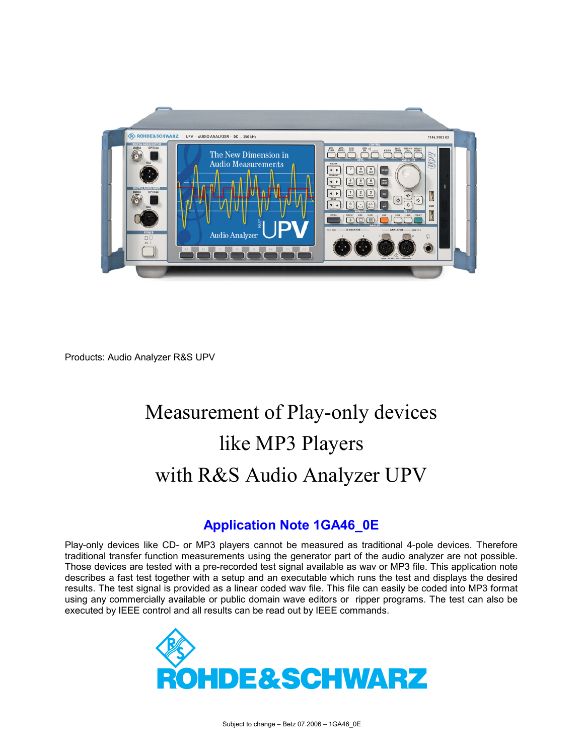

Products: Audio Analyzer R&S UPV

# Measurement of Play-only devices like MP3 Players with R&S Audio Analyzer UPV

#### **Application Note 1GA46\_0E**

Play-only devices like CD- or MP3 players cannot be measured as traditional 4-pole devices. Therefore traditional transfer function measurements using the generator part of the audio analyzer are not possible. Those devices are tested with a pre-recorded test signal available as wav or MP3 file. This application note describes a fast test together with a setup and an executable which runs the test and displays the desired results. The test signal is provided as a linear coded wav file. This file can easily be coded into MP3 format using any commercially available or public domain wave editors or ripper programs. The test can also be executed by IEEE control and all results can be read out by IEEE commands.

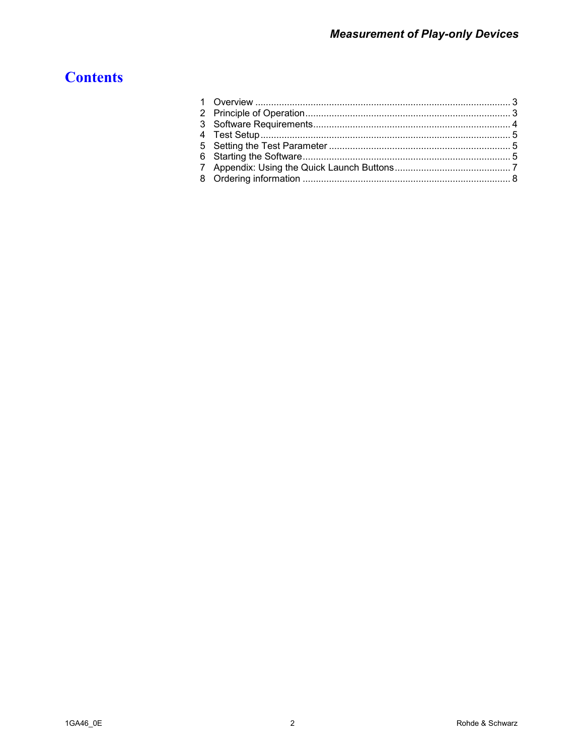# **Contents**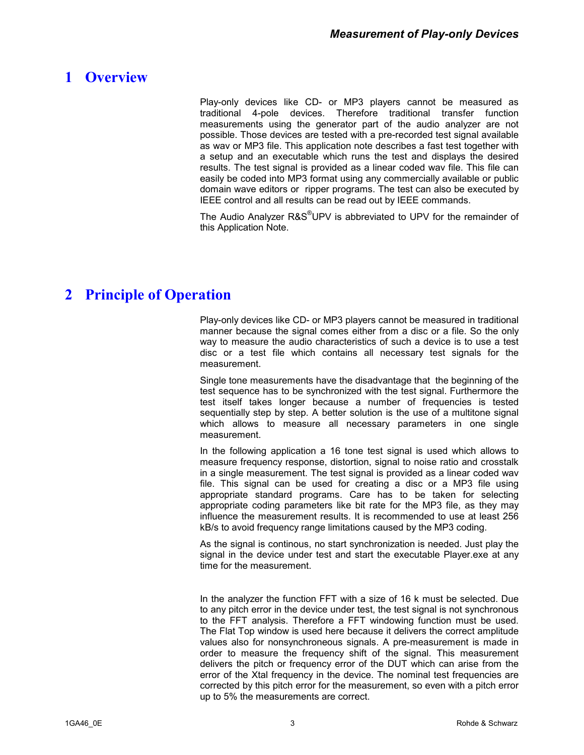### <span id="page-2-0"></span>**1 Overview**

Play-only devices like CD- or MP3 players cannot be measured as traditional 4-pole devices. Therefore traditional transfer function measurements using the generator part of the audio analyzer are not possible. Those devices are tested with a pre-recorded test signal available as wav or MP3 file. This application note describes a fast test together with a setup and an executable which runs the test and displays the desired results. The test signal is provided as a linear coded wav file. This file can easily be coded into MP3 format using any commercially available or public domain wave editors or ripper programs. The test can also be executed by IEEE control and all results can be read out by IEEE commands.

The Audio Analyzer R&S®UPV is abbreviated to UPV for the remainder of this Application Note.

## **2 Principle of Operation**

Play-only devices like CD- or MP3 players cannot be measured in traditional manner because the signal comes either from a disc or a file. So the only way to measure the audio characteristics of such a device is to use a test disc or a test file which contains all necessary test signals for the measurement.

Single tone measurements have the disadvantage that the beginning of the test sequence has to be synchronized with the test signal. Furthermore the test itself takes longer because a number of frequencies is tested sequentially step by step. A better solution is the use of a multitone signal which allows to measure all necessary parameters in one single measurement.

In the following application a 16 tone test signal is used which allows to measure frequency response, distortion, signal to noise ratio and crosstalk in a single measurement. The test signal is provided as a linear coded wav file. This signal can be used for creating a disc or a MP3 file using appropriate standard programs. Care has to be taken for selecting appropriate coding parameters like bit rate for the MP3 file, as they may influence the measurement results. It is recommended to use at least 256 kB/s to avoid frequency range limitations caused by the MP3 coding.

As the signal is continous, no start synchronization is needed. Just play the signal in the device under test and start the executable Player.exe at any time for the measurement.

In the analyzer the function FFT with a size of 16 k must be selected. Due to any pitch error in the device under test, the test signal is not synchronous to the FFT analysis. Therefore a FFT windowing function must be used. The Flat Top window is used here because it delivers the correct amplitude values also for nonsynchroneous signals. A pre-measurement is made in order to measure the frequency shift of the signal. This measurement delivers the pitch or frequency error of the DUT which can arise from the error of the Xtal frequency in the device. The nominal test frequencies are corrected by this pitch error for the measurement, so even with a pitch error up to 5% the measurements are correct.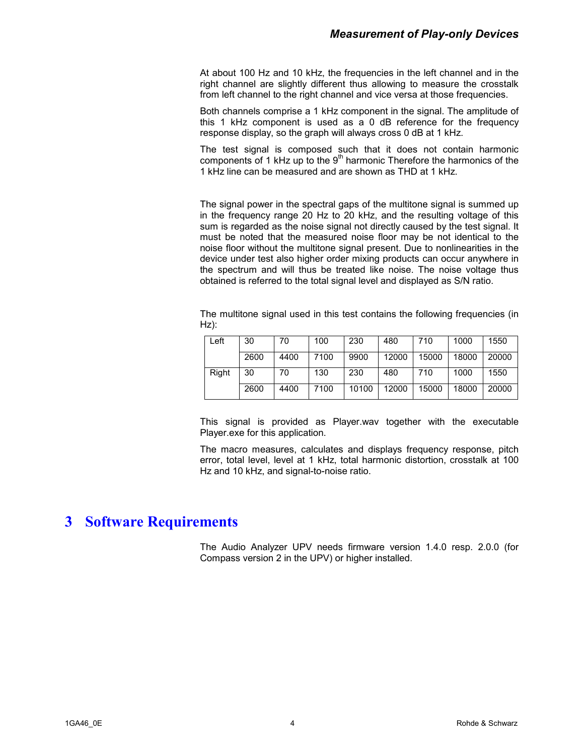<span id="page-3-0"></span>At about 100 Hz and 10 kHz, the frequencies in the left channel and in the right channel are slightly different thus allowing to measure the crosstalk from left channel to the right channel and vice versa at those frequencies.

Both channels comprise a 1 kHz component in the signal. The amplitude of this 1 kHz component is used as a 0 dB reference for the frequency response display, so the graph will always cross 0 dB at 1 kHz.

The test signal is composed such that it does not contain harmonic components of 1 kHz up to the  $9<sup>th</sup>$  harmonic Therefore the harmonics of the 1 kHz line can be measured and are shown as THD at 1 kHz.

The signal power in the spectral gaps of the multitone signal is summed up in the frequency range 20 Hz to 20 kHz, and the resulting voltage of this sum is regarded as the noise signal not directly caused by the test signal. It must be noted that the measured noise floor may be not identical to the noise floor without the multitone signal present. Due to nonlinearities in the device under test also higher order mixing products can occur anywhere in the spectrum and will thus be treated like noise. The noise voltage thus obtained is referred to the total signal level and displayed as S/N ratio.

The multitone signal used in this test contains the following frequencies (in Hz):

| Left  | 30   | 70   | 100  | 230   | 480   | 710   | 1000  | 1550  |
|-------|------|------|------|-------|-------|-------|-------|-------|
|       | 2600 | 4400 | 7100 | 9900  | 12000 | 15000 | 18000 | 20000 |
| Right | 30   | 70   | 130  | 230   | 480   | 710   | 1000  | 1550  |
|       | 2600 | 4400 | 7100 | 10100 | 12000 | 15000 | 18000 | 20000 |

This signal is provided as Player.wav together with the executable Player.exe for this application.

The macro measures, calculates and displays frequency response, pitch error, total level, level at 1 kHz, total harmonic distortion, crosstalk at 100 Hz and 10 kHz, and signal-to-noise ratio.

#### **3 Software Requirements**

The Audio Analyzer UPV needs firmware version 1.4.0 resp. 2.0.0 (for Compass version 2 in the UPV) or higher installed.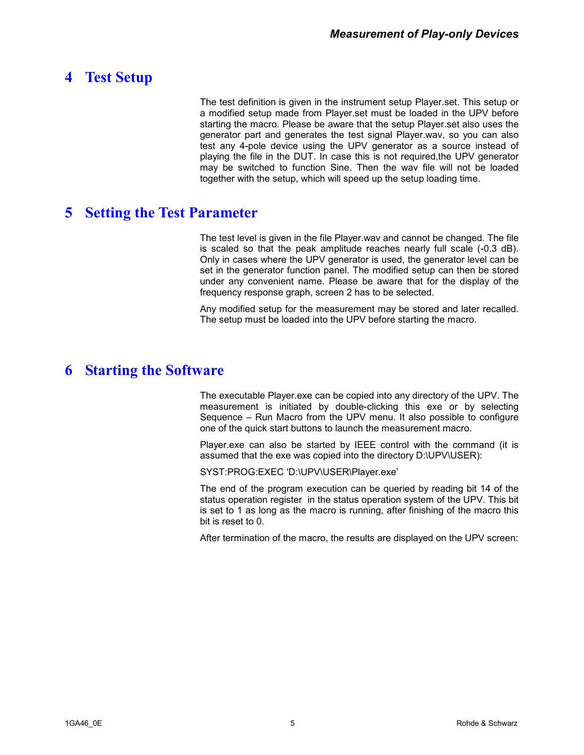#### <span id="page-4-0"></span>**4 Test Setup**

The test definition is given in the instrument setup Player.set. This setup or a modified setup made from Player.set must be loaded in the UPV before starting the macro. Please be aware that the setup Player.set also uses the generator part and generates the test signal Player.wav, so you can also test any 4-pole device using the UPV generator as a source instead of playing the file in the DUT. In case this is not required,the UPV generator may be switched to function Sine. Then the wav file will not be loaded together with the setup, which will speed up the setup loading time.

#### **5 Setting the Test Parameter**

The test level is given in the file Player.wav and cannot be changed. The file is scaled so that the peak amplitude reaches nearly full scale (-0.3 dB). Only in cases where the UPV generator is used, the generator level can be set in the generator function panel. The modified setup can then be stored under any convenient name. Please be aware that for the display of the frequency response graph, screen 2 has to be selected.

Any modified setup for the measurement may be stored and later recalled. The setup must be loaded into the UPV before starting the macro.

#### **6 Starting the Software**

The executable Player.exe can be copied into any directory of the UPV. The measurement is initiated by double-clicking this exe or by selecting Sequence – Run Macro from the UPV menu. It also possible to configure one of the quick start buttons to launch the measurement macro.

Player.exe can also be started by IEEE control with the command (it is assumed that the exe was copied into the directory D:\UPV\USER):

SYST:PROG:EXEC 'D:\UPV\USER\Player.exe'

The end of the program execution can be queried by reading bit 14 of the status operation register in the status operation system of the UPV. This bit is set to 1 as long as the macro is running, after finishing of the macro this bit is reset to 0.

After termination of the macro, the results are displayed on the UPV screen: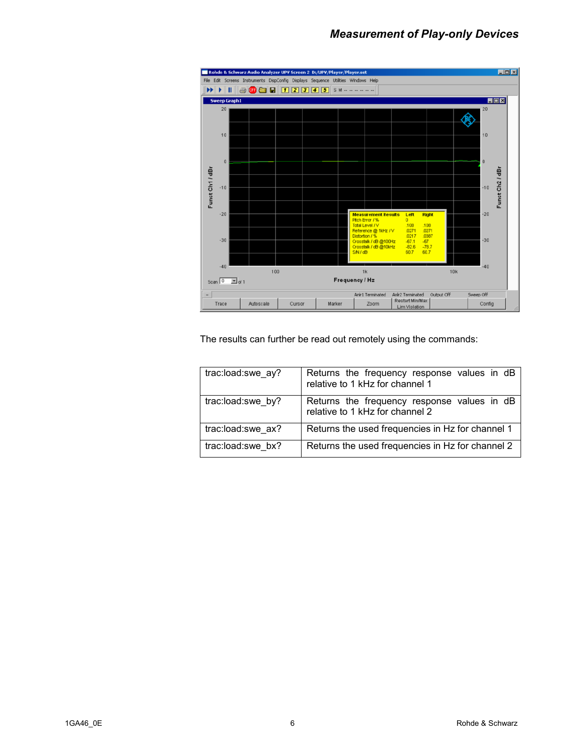

The results can further be read out remotely using the commands:

| trac:load:swe ay? | Returns the frequency response values in dB<br>relative to 1 kHz for channel 1 |
|-------------------|--------------------------------------------------------------------------------|
| trac:load:swe by? | Returns the frequency response values in dB relative to 1 kHz for channel 2    |
| trac:load:swe ax? | Returns the used frequencies in Hz for channel 1                               |
| trac:load:swe bx? | Returns the used frequencies in Hz for channel 2                               |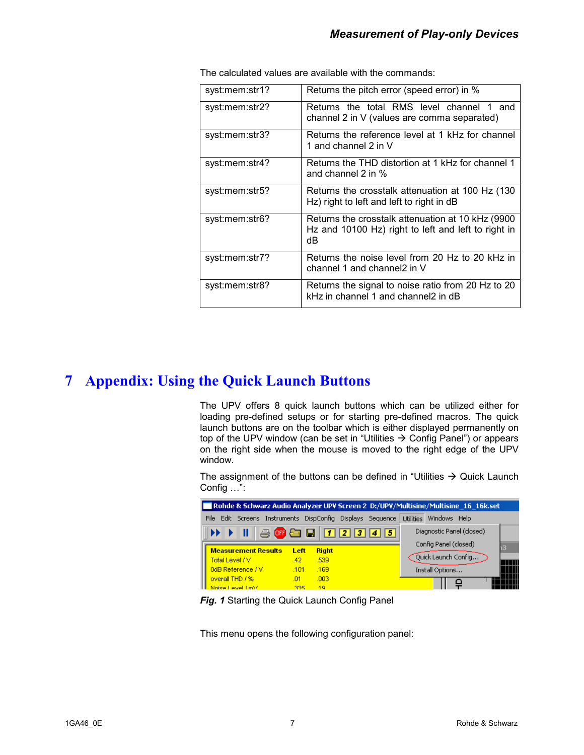| syst:mem:str1? | Returns the pitch error (speed error) in %                                                                     |
|----------------|----------------------------------------------------------------------------------------------------------------|
| syst:mem:str2? | Returns the total RMS level channel 1 and<br>channel 2 in V (values are comma separated)                       |
| syst:mem:str3? | Returns the reference level at 1 kHz for channel<br>1 and channel 2 in V                                       |
| syst:mem:str4? | Returns the THD distortion at 1 kHz for channel 1<br>and channel 2 in $%$                                      |
| syst:mem:str5? | Returns the crosstalk attenuation at 100 Hz (130<br>Hz) right to left and left to right in dB                  |
| syst:mem:str6? | Returns the crosstalk attenuation at 10 kHz (9900<br>Hz and 10100 Hz) right to left and left to right in<br>dB |
| syst:mem:str7? | Returns the noise level from 20 Hz to 20 kHz in<br>channel 1 and channel2 in V                                 |
| syst:mem:str8? | Returns the signal to noise ratio from 20 Hz to 20<br>kHz in channel 1 and channel2 in dB                      |

<span id="page-6-0"></span>The calculated values are available with the commands:

#### **7 Appendix: Using the Quick Launch Buttons**

The UPV offers 8 quick launch buttons which can be utilized either for loading pre-defined setups or for starting pre-defined macros. The quick launch buttons are on the toolbar which is either displayed permanently on top of the UPV window (can be set in "Utilities  $\rightarrow$  Config Panel") or appears on the right side when the mouse is moved to the right edge of the UPV window.

The assignment of the buttons can be defined in "Utilities  $\rightarrow$  Quick Launch Config …":

| Rohde & Schwarz Audio Analyzer UPV Screen 2 D:/UPV/Multisine/Multisine 16 16k.set |                            |      |                   |  |                                          |                                            |  |
|-----------------------------------------------------------------------------------|----------------------------|------|-------------------|--|------------------------------------------|--------------------------------------------|--|
|                                                                                   | File<br>Edit Screens       |      |                   |  | Instruments DispConfig Displays Sequence | <b>Utilities</b><br>Windows<br><b>Help</b> |  |
|                                                                                   | <b>今时日日12345</b><br>Ш      |      |                   |  |                                          | Diagnostic Panel (closed)                  |  |
|                                                                                   |                            |      |                   |  |                                          | Config Panel (closed)<br>١3.               |  |
|                                                                                   | <b>Measurement Results</b> | Left | <b>Right</b>      |  |                                          |                                            |  |
|                                                                                   | Total Level / V            | 42   | .539              |  |                                          | Ouick Launch Config                        |  |
|                                                                                   | 0dB Reference / V          | .101 | .169              |  |                                          | Install Options                            |  |
|                                                                                   | overall THD / %            | .01  | .003 <sub>1</sub> |  |                                          |                                            |  |
|                                                                                   | Noise Level (mV)           | 335  | 19                |  |                                          |                                            |  |

**Fig. 1** Starting the Quick Launch Config Panel

This menu opens the following configuration panel: